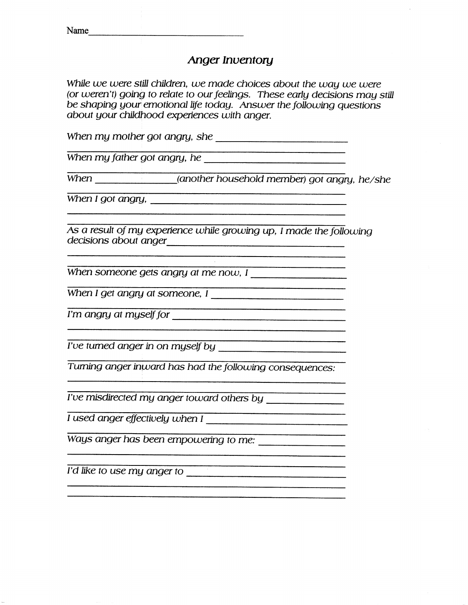## *Anger Inventory*

*While we were still children, we made choices about the way we were (or weren't) going to relate to our feelings. These early decisions may still be shaping your emotional life today. Answer the following questions about your childhood experiences with anger.*

*When my mother got angry, she*

*When my father got angry, he*

*When (another household member) got angry, he/she*

.<br>1940 ar mandalan dinis macadosis in terminais and an anno 1940 and 2000. The second and the property of the st

*When I got angry,*

*As a result of my experience while growing up, I made the following decisions about anger*

*When someone gets angry at me now, I*

*When I get angry at someone, I*

*I'm angry at myself for*

*I'ue turned anger in on myself by*

*Turning anger inward has had the following consequences:*

*rue misdirected my anger toward others by*

*I used anger effectiuely when I*

Ways *anger has been empowering to me:*

*I'd tike to use my anger to*